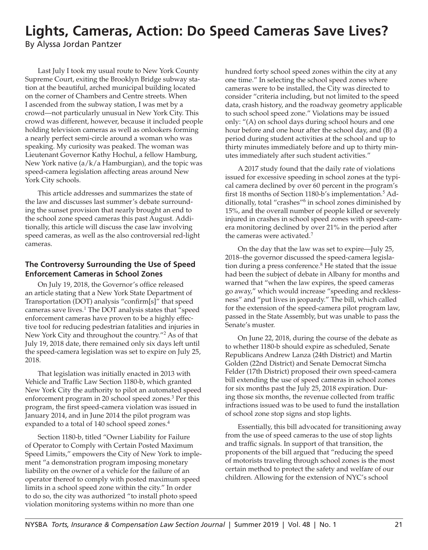# **Lights, Cameras, Action: Do Speed Cameras Save Lives?**

By Alyssa Jordan Pantzer

Last July I took my usual route to New York County Supreme Court, exiting the Brooklyn Bridge subway station at the beautiful, arched municipal building located on the corner of Chambers and Centre streets. When I ascended from the subway station, I was met by a crowd—not particularly unusual in New York City. This crowd was different, however, because it included people holding television cameras as well as onlookers forming a nearly perfect semi-circle around a woman who was speaking. My curiosity was peaked. The woman was Lieutenant Governor Kathy Hochul, a fellow Hamburg, New York native (a/k/a Hamburgian), and the topic was speed-camera legislation affecting areas around New York City schools.

This article addresses and summarizes the state of the law and discusses last summer's debate surrounding the sunset provision that nearly brought an end to the school zone speed cameras this past August. Additionally, this article will discuss the case law involving speed cameras, as well as the also controversial red-light cameras.

### **The Controversy Surrounding the Use of Speed Enforcement Cameras in School Zones**

On July 19, 2018, the Governor's office released an article stating that a New York State Department of Transportation (DOT) analysis "confirm[s]" that speed cameras save lives.<sup>1</sup> The DOT analysis states that "speed enforcement cameras have proven to be a highly effective tool for reducing pedestrian fatalities and injuries in New York City and throughout the country."<sup>2</sup> As of that July 19, 2018 date, there remained only six days left until the speed-camera legislation was set to expire on July 25, 2018.

That legislation was initially enacted in 2013 with Vehicle and Traffic Law Section 1180-b, which granted New York City the authority to pilot an automated speed enforcement program in 20 school speed zones.<sup>3</sup> Per this program, the first speed-camera violation was issued in January 2014, and in June 2014 the pilot program was expanded to a total of 140 school speed zones.<sup>4</sup>

Section 1180-b, titled "Owner Liability for Failure of Operator to Comply with Certain Posted Maximum Speed Limits," empowers the City of New York to implement "a demonstration program imposing monetary liability on the owner of a vehicle for the failure of an operator thereof to comply with posted maximum speed limits in a school speed zone within the city." In order to do so, the city was authorized "to install photo speed violation monitoring systems within no more than one

hundred forty school speed zones within the city at any one time." In selecting the school speed zones where cameras were to be installed, the City was directed to consider "criteria including, but not limited to the speed data, crash history, and the roadway geometry applicable to such school speed zone." Violations may be issued only: "(A) on school days during school hours and one hour before and one hour after the school day, and (B) a period during student activities at the school and up to thirty minutes immediately before and up to thirty minutes immediately after such student activities."

A 2017 study found that the daily rate of violations issued for excessive speeding in school zones at the typical camera declined by over 60 percent in the program's first 18 months of Section 1180-b's implementation.<sup>5</sup> Additionally, total "crashes"<sup>6</sup> in school zones diminished by 15%, and the overall number of people killed or severely injured in crashes in school speed zones with speed-camera monitoring declined by over 21% in the period after the cameras were activated.<sup>7</sup>

On the day that the law was set to expire—July 25, 2018–the governor discussed the speed-camera legislation during a press conference. $8$  He stated that the issue had been the subject of debate in Albany for months and warned that "when the law expires, the speed cameras go away," which would increase "speeding and recklessness" and "put lives in jeopardy." The bill, which called for the extension of the speed-camera pilot program law, passed in the State Assembly, but was unable to pass the Senate's muster.

On June 22, 2018, during the course of the debate as to whether 1180-b should expire as scheduled, Senate Republicans Andrew Lanza (24th District) and Martin Golden (22nd District) and Senate Democrat Simcha Felder (17th District) proposed their own speed-camera bill extending the use of speed cameras in school zones for six months past the July 25, 2018 expiration. During those six months, the revenue collected from traffic infractions issued was to be used to fund the installation of school zone stop signs and stop lights.

Essentially, this bill advocated for transitioning away from the use of speed cameras to the use of stop lights and traffic signals. In support of that transition, the proponents of the bill argued that "reducing the speed of motorists traveling through school zones is the most certain method to protect the safety and welfare of our children. Allowing for the extension of NYC's school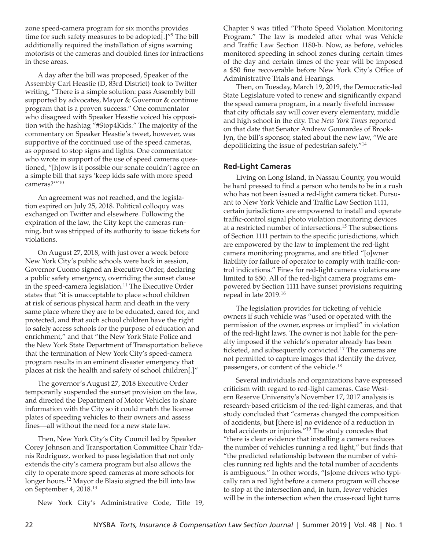zone speed-camera program for six months provides time for such safety measures to be adopted[.]"<sup>9</sup> The bill additionally required the installation of signs warning motorists of the cameras and doubled fines for infractions in these areas.

A day after the bill was proposed, Speaker of the Assembly Carl Heastie (D, 83rd District) took to Twitter writing, "There is a simple solution: pass Assembly bill supported by advocates, Mayor & Governor & continue program that is a proven success." One commentator who disagreed with Speaker Heastie voiced his opposition with the hashtag "#Stop4Kids." The majority of the commentary on Speaker Heastie's tweet, however, was supportive of the continued use of the speed cameras, as opposed to stop signs and lights. One commentator who wrote in support of the use of speed cameras questioned, "[h]ow is it possible our senate couldn't agree on a simple bill that says 'keep kids safe with more speed cameras?'"<sup>10</sup>

An agreement was not reached, and the legislation expired on July 25, 2018. Political colloquy was exchanged on Twitter and elsewhere. Following the expiration of the law, the City kept the cameras running, but was stripped of its authority to issue tickets for violations.

On August 27, 2018, with just over a week before New York City's public schools were back in session, Governor Cuomo signed an Executive Order, declaring a public safety emergency, overriding the sunset clause in the speed-camera legislation.<sup>11</sup> The Executive Order states that "it is unacceptable to place school children at risk of serious physical harm and death in the very same place where they are to be educated, cared for, and protected, and that such school children have the right to safely access schools for the purpose of education and enrichment," and that "the New York State Police and the New York State Department of Transportation believe that the termination of New York City's speed-camera program results in an eminent disaster emergency that places at risk the health and safety of school children[.]"

The governor's August 27, 2018 Executive Order temporarily suspended the sunset provision on the law, and directed the Department of Motor Vehicles to share information with the City so it could match the license plates of speeding vehicles to their owners and assess fines—all without the need for a new state law.

Then, New York City's City Council led by Speaker Corey Johnson and Transportation Committee Chair Ydanis Rodriguez, worked to pass legislation that not only extends the city's camera program but also allows the city to operate more speed cameras at more schools for longer hours.<sup>12</sup> Mayor de Blasio signed the bill into law on September 4, 2018.<sup>13</sup>

New York City's Administrative Code, Title 19,

Chapter 9 was titled "Photo Speed Violation Monitoring Program." The law is modeled after what was Vehicle and Traffic Law Section 1180-b. Now, as before, vehicles monitored speeding in school zones during certain times of the day and certain times of the year will be imposed a \$50 fine recoverable before New York City's Office of Administrative Trials and Hearings.

Then, on Tuesday, March 19, 2019, the Democratic-led State Legislature voted to renew and significantly expand the speed camera program, in a nearly fivefold increase that city officials say will cover every elementary, middle and high school in the city. The *New York Times* reported on that date that Senator Andrew Gounardes of Brooklyn, the bill's sponsor, stated about the new law, "We are depoliticizing the issue of pedestrian safety."<sup>14</sup>

#### **Red-Light Cameras**

Living on Long Island, in Nassau County, you would be hard pressed to find a person who tends to be in a rush who has not been issued a red-light camera ticket. Pursuant to New York Vehicle and Traffic Law Section 1111, certain jurisdictions are empowered to install and operate traffic-control signal photo violation monitoring devices at a restricted number of intersections.<sup>15</sup> The subsections of Section 1111 pertain to the specific jurisdictions, which are empowered by the law to implement the red-light camera monitoring programs, and are titled "[o]wner liability for failure of operator to comply with traffic-control indications." Fines for red-light camera violations are limited to \$50. All of the red-light camera programs empowered by Section 1111 have sunset provisions requiring repeal in late 2019.<sup>16</sup>

The legislation provides for ticketing of vehicle owners if such vehicle was "used or operated with the permission of the owner, express or implied" in violation of the red-light laws. The owner is not liable for the penalty imposed if the vehicle's operator already has been ticketed, and subsequently convicted.<sup>17</sup> The cameras are not permitted to capture images that identify the driver, passengers, or content of the vehicle.<sup>18</sup>

Several individuals and organizations have expressed criticism with regard to red-light cameras. Case Western Reserve University's November 17, 2017 analysis is research-based criticism of the red-light cameras, and that study concluded that "cameras changed the composition of accidents, but [there is] no evidence of a reduction in total accidents or injuries."19 The study concedes that "there is clear evidence that installing a camera reduces the number of vehicles running a red light," but finds that "the predicted relationship between the number of vehicles running red lights and the total number of accidents is ambiguous." In other words, "[s]ome drivers who typically ran a red light before a camera program will choose to stop at the intersection and, in turn, fewer vehicles will be in the intersection when the cross-road light turns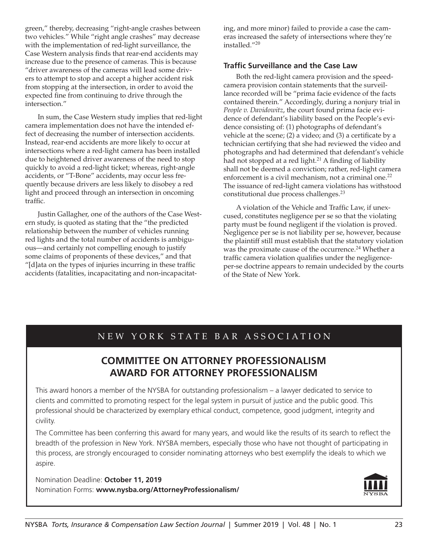green," thereby, decreasing "right-angle crashes between two vehicles." While "right angle crashes" may decrease with the implementation of red-light surveillance, the Case Western analysis finds that rear-end accidents may increase due to the presence of cameras. This is because "driver awareness of the cameras will lead some drivers to attempt to stop and accept a higher accident risk from stopping at the intersection, in order to avoid the expected fine from continuing to drive through the intersection."

In sum, the Case Western study implies that red-light camera implementation does not have the intended effect of decreasing the number of intersection accidents. Instead, rear-end accidents are more likely to occur at intersections where a red-light camera has been installed due to heightened driver awareness of the need to stop quickly to avoid a red-light ticket; whereas, right-angle accidents, or "T-Bone" accidents, may occur less frequently because drivers are less likely to disobey a red light and proceed through an intersection in oncoming traffic.

Justin Gallagher, one of the authors of the Case Western study, is quoted as stating that the "the predicted relationship between the number of vehicles running red lights and the total number of accidents is ambiguous—and certainly not compelling enough to justify some claims of proponents of these devices," and that "[d]ata on the types of injuries incurring in these traffic accidents (fatalities, incapacitating and non-incapacitating, and more minor) failed to provide a case the cameras increased the safety of intersections where they're installed."<sup>20</sup>

#### **Traffic Surveillance and the Case Law**

Both the red-light camera provision and the speedcamera provision contain statements that the surveillance recorded will be "prima facie evidence of the facts contained therein." Accordingly, during a nonjury trial in *People v. Davidowitz*, the court found prima facie evidence of defendant's liability based on the People's evidence consisting of: (1) photographs of defendant's vehicle at the scene; (2) a video; and (3) a certificate by a technician certifying that she had reviewed the video and photographs and had determined that defendant's vehicle had not stopped at a red light.<sup>21</sup> A finding of liability shall not be deemed a conviction; rather, red-light camera enforcement is a civil mechanism, not a criminal one.<sup>22</sup> The issuance of red-light camera violations has withstood constitutional due process challenges.<sup>23</sup>

A violation of the Vehicle and Traffic Law, if unexcused, constitutes negligence per se so that the violating party must be found negligent if the violation is proved. Negligence per se is not liability per se, however, because the plaintiff still must establish that the statutory violation was the proximate cause of the occurrence.<sup>24</sup> Whether a traffic camera violation qualifies under the negligenceper-se doctrine appears to remain undecided by the courts of the State of New York.

## NEW YORK STATE BAR ASSOCIATION

## **COMMITTEE ON ATTORNEY PROFESSIONALISM AWARD FOR ATTORNEY PROFESSIONALISM**

This award honors a member of the NYSBA for outstanding professionalism – a lawyer dedicated to service to clients and committed to promoting respect for the legal system in pursuit of justice and the public good. This professional should be characterized by exemplary ethical conduct, competence, good judgment, integrity and civility.

The Committee has been conferring this award for many years, and would like the results of its search to reflect the breadth of the profession in New York. NYSBA members, especially those who have not thought of participating in this process, are strongly encouraged to consider nominating attorneys who best exemplify the ideals to which we aspire.

Nomination Deadline: **October 11, 2019** Nomination Forms: **www.nysba.org/AttorneyProfessionalism/**